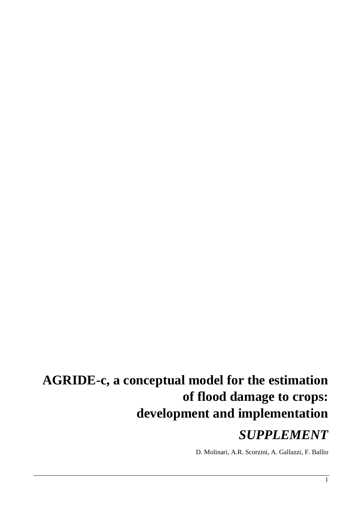# **AGRIDE-c, a conceptual model for the estimation of flood damage to crops: development and implementation**

# *SUPPLEMENT*

D. Molinari, A.R. Scorzini, A. Gallazzi, F. Ballio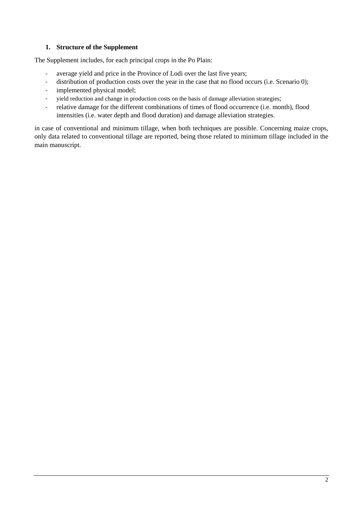# **1. Structure of the Supplement**

The Supplement includes, for each principal crops in the Po Plain:

- average yield and price in the Province of Lodi over the last five years;
- distribution of production costs over the year in the case that no flood occurs (i.e. Scenario 0);
- implemented physical model;
- yield reduction and change in production costs on the basis of damage alleviation strategies;
- relative damage for the different combinations of times of flood occurrence (i.e. month), flood intensities (i.e. water depth and flood duration) and damage alleviation strategies.

in case of conventional and minimum tillage, when both techniques are possible. Concerning maize crops, only data related to conventional tillage are reported, being those related to minimum tillage included in the main manuscript.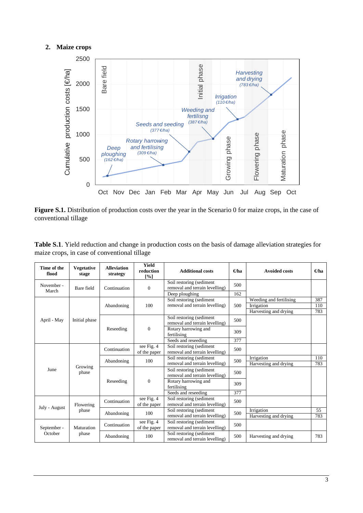# **2. Maize crops**



Figure S.1. Distribution of production costs over the year in the Scenario 0 for maize crops, in the case of conventional tillage

|                                              | Table S.1. Yield reduction and change in production costs on the basis of damage alleviation strategies for |
|----------------------------------------------|-------------------------------------------------------------------------------------------------------------|
| maize crops, in case of conventional tillage |                                                                                                             |

| Time of the<br>flood | <b>Vegetative</b><br>stage | <b>Alleviation</b><br>strategy | <b>Yield</b><br>reduction<br>[%] | <b>Additional costs</b>                                                      | $\Theta$ ha | <b>Avoided costs</b>                                           | €ha               |
|----------------------|----------------------------|--------------------------------|----------------------------------|------------------------------------------------------------------------------|-------------|----------------------------------------------------------------|-------------------|
| November -<br>March  | Bare field                 | Continuation                   | $\mathbf{0}$                     | Soil restoring (sediment<br>removal and terrain levelling)<br>Deep ploughing | 500<br>162  |                                                                |                   |
|                      |                            | Abandoning                     | 100                              | Soil restoring (sediment<br>removal and terrain levelling)                   | 500         | Weeding and fertilising<br>Irrigation<br>Harvesting and drying | 387<br>110<br>783 |
| April - May          | Initial phase              |                                |                                  | Soil restoring (sediment<br>removal and terrain levelling)                   | 500         |                                                                |                   |
|                      |                            | Reseeding                      | $\boldsymbol{0}$                 | Rotary harrowing and<br>fertilising                                          | 309         |                                                                |                   |
|                      |                            |                                |                                  | Seeds and reseeding                                                          | 377         |                                                                |                   |
|                      |                            | Continuation                   | see Fig. 4<br>of the paper       | Soil restoring (sediment<br>removal and terrain levelling)                   | 500         |                                                                |                   |
|                      |                            | Abandoning                     | 100                              | Soil restoring (sediment<br>removal and terrain levelling)                   | 500         | Irrigation<br>Harvesting and drying                            | 110<br>783        |
| June                 | Growing<br>phase           |                                |                                  | Soil restoring (sediment<br>removal and terrain levelling)                   | 500         |                                                                |                   |
|                      |                            | Reseeding                      | $\Omega$                         | Rotary harrowing and<br>fertilising                                          | 309         |                                                                |                   |
|                      |                            |                                |                                  | Seeds and reseeding                                                          | 377         |                                                                |                   |
| July - August        | Flowering                  | Continuation                   | see Fig. 4<br>of the paper       | Soil restoring (sediment<br>removal and terrain levelling)                   | 500         |                                                                |                   |
|                      | phase                      | Abandoning                     | 100                              | Soil restoring (sediment<br>removal and terrain levelling)                   | 500         | Irrigation<br>Harvesting and drying                            | 55<br>783         |
| September -          | Maturation                 | Continuation                   | see Fig. 4<br>of the paper       | Soil restoring (sediment<br>removal and terrain levelling)                   | 500         |                                                                |                   |
| October              | phase                      | Abandoning                     | 100                              | Soil restoring (sediment<br>removal and terrain levelling)                   | 500         | Harvesting and drying                                          | 783               |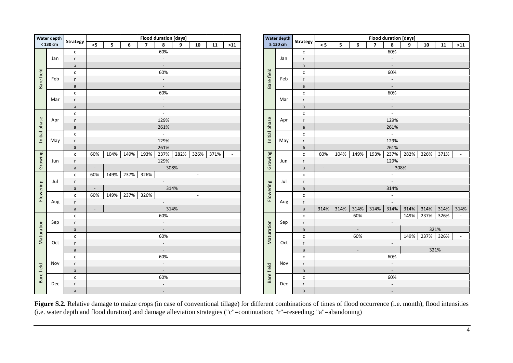|               | Water depth |                 | <b>Flood duration [days]</b>                                                               |               | <b>Water depth</b> |                 |               |      |                          |                |                          | <b>Flood duration [days]</b> |
|---------------|-------------|-----------------|--------------------------------------------------------------------------------------------|---------------|--------------------|-----------------|---------------|------|--------------------------|----------------|--------------------------|------------------------------|
|               | < 130 cm    | <b>Strategy</b> | $\leq$<br>$\overline{\mathbf{z}}$<br>8<br>${\bf 10}$<br>6<br>9<br>${\bf 11}$<br>$>11$<br>5 |               | $\geq 130$ cm      | <b>Strategy</b> | $\leq 5$      | 5    | 6                        | $\overline{7}$ | $\pmb{8}$                | 9                            |
|               |             | $\mathsf{C}$    | 60%                                                                                        |               |                    | c               |               |      |                          |                | 60%                      |                              |
|               | Jan         | r               | $\overline{\phantom{a}}$                                                                   |               | Jan                | r               |               |      |                          |                |                          |                              |
|               |             | $\mathsf a$     |                                                                                            |               |                    | $\mathsf{a}$    |               |      |                          |                |                          |                              |
| Bare field    |             | $\mathsf{C}$    | 60%                                                                                        | Bare field    |                    | с               |               |      |                          |                | 60%                      |                              |
|               | Feb         | r               | $\overline{\phantom{a}}$                                                                   |               | Feb                | r               |               |      |                          |                | $\overline{\phantom{a}}$ |                              |
|               |             | $\mathsf a$     | $\blacksquare$                                                                             |               |                    | a               |               |      |                          |                | $\blacksquare$           |                              |
|               |             | $\mathsf{C}$    | 60%                                                                                        |               |                    | $\mathsf{C}$    |               |      |                          |                | 60%                      |                              |
|               | Mar         | r               | $\overline{\phantom{a}}$                                                                   |               | Mar                | r               |               |      |                          |                | $\overline{\phantom{a}}$ |                              |
|               |             | $\mathsf a$     | $\blacksquare$                                                                             |               |                    | $\mathsf{a}$    |               |      |                          |                | $\overline{\phantom{a}}$ |                              |
|               |             | $\mathsf{c}$    | $\overline{a}$                                                                             |               |                    | $\mathsf{C}$    |               |      |                          |                | $\omega$                 |                              |
|               | Apr         | r               | 129%                                                                                       |               | Apr                | r               |               |      |                          |                | 129%                     |                              |
|               |             | $\mathsf a$     | 261%                                                                                       |               |                    | $\mathsf{a}$    |               |      |                          |                | 261%                     |                              |
| Initial phase |             | $\mathsf{C}$    | $\overline{\mathbb{R}^2}$                                                                  | Initial phase |                    | $\mathsf{C}$    |               |      |                          |                | $\overline{\mathbb{R}}$  |                              |
|               | May         | r               | 129%                                                                                       |               | May                | r               |               |      |                          |                | 129%                     |                              |
|               |             | $\mathsf a$     | 261%                                                                                       |               |                    | $\mathsf{a}$    |               |      |                          |                | 261%                     |                              |
| Growing       |             | $\mathsf{c}$    | 237% 282%<br>104% 149%<br>193%<br>326% 371%<br>60%<br>$\blacksquare$                       | Growing       |                    | $\mathsf{C}$    | 60%           |      | 104% 149% 193%           |                | 237%                     | 282%                         |
|               | Jun         | r               | 129%                                                                                       |               | Jun                | r               |               |      |                          |                | 129%                     |                              |
|               |             | $\mathsf a$     | 308%<br>$\overline{\phantom{a}}$                                                           |               |                    | $\mathsf{a}$    | $\mathcal{L}$ |      |                          |                | 308%                     |                              |
|               |             | $\mathsf{C}$    | 60%<br>149%<br>237%<br>326%<br>$\blacksquare$                                              |               |                    | $\mathsf{C}$    |               |      |                          |                | $\blacksquare$           |                              |
|               | Jul         | r               | $\sim$                                                                                     |               | Jul                | r               |               |      |                          |                | $\overline{\phantom{a}}$ |                              |
| Flowering     |             | $\mathsf a$     | 314%<br>$\overline{\phantom{a}}$                                                           | Flowering     |                    | $\mathsf{a}$    |               |      |                          |                | 314%                     |                              |
|               |             | $\mathsf{C}$    | 149%<br>237%<br>60%<br>326%<br>$\blacksquare$                                              |               |                    | c               |               |      |                          |                | $\blacksquare$           |                              |
|               | Aug         | r               | $\sim$                                                                                     |               | Aug                | r               |               |      |                          |                | $\overline{\phantom{a}}$ |                              |
|               |             | $\mathsf a$     | 314%<br>$\blacksquare$                                                                     |               |                    | $\mathsf{a}$    | 314%          | 314% | 314%                     | 314%           | 314%                     | 314%                         |
|               |             | $\mathsf{C}$    | 60%                                                                                        |               |                    | C               |               |      | 60%                      |                |                          | 149%                         |
|               | Sep         | r               | $\overline{\phantom{a}}$                                                                   |               | Sep                | r               |               |      |                          |                | $\overline{\phantom{a}}$ |                              |
|               |             | a               |                                                                                            |               |                    | a               |               |      | $\blacksquare$           |                |                          |                              |
| Maturation    |             | $\mathsf{C}$    | 60%                                                                                        | Maturation    |                    | C               |               |      | 60%                      |                |                          | 149%                         |
|               | Oct         | r               | $\overline{\phantom{a}}$                                                                   |               | Oct                | r               |               |      |                          |                | $\overline{\phantom{a}}$ |                              |
|               |             | $\mathsf a$     | $\blacksquare$                                                                             |               |                    | $\mathsf{a}$    |               |      | $\overline{\phantom{a}}$ |                |                          |                              |
|               |             | $\mathsf{C}$    | 60%                                                                                        |               |                    | C               |               |      |                          |                | 60%                      |                              |
|               | Nov         | r               | $\overline{\phantom{a}}$                                                                   |               | Nov                | r               |               |      |                          |                | $\overline{\phantom{a}}$ |                              |
|               |             | $\mathsf a$     | $\sim$                                                                                     |               |                    | $\mathsf{a}$    |               |      |                          |                | $\blacksquare$           |                              |
| Bare field    |             | $\mathsf{C}$    | 60%                                                                                        | Bare field    |                    | c               |               |      |                          |                | 60%                      |                              |
|               | Dec         | r               | $\overline{\phantom{a}}$                                                                   |               | Dec                | $r_{\rm}$       |               |      |                          |                |                          |                              |
|               |             | $\mathsf{a}$    | $\overline{\phantom{a}}$                                                                   |               |                    | a               |               |      |                          |                | $\overline{\phantom{a}}$ |                              |

| $\geq 130$ cm<br>8<br>${\bf 10}$<br>${\bf 11}$<br>$\leq 5$<br>$\overline{7}$<br>8<br>${\bf 10}$<br>11<br>$>11$<br>$<$ 5<br>5<br>6<br>$\overline{7}$<br>9<br>$>11$<br>5<br>6<br>9<br>$\mathsf{c}$<br>60%<br>60%<br>$\mathsf{C}$<br>r.<br>Jan<br>$\overline{\phantom{a}}$<br>$\overline{\phantom{a}}$<br>r<br>$\frac{a}{c}$<br>$\mathsf{a}$<br>Bare field<br>60%<br>60%<br>$\mathsf{c}$<br>r.<br>Feb<br>$\sim$<br>$\blacksquare$<br>$\mathsf{r}$<br>$\overline{a}$<br>$\sim$<br>$\mathsf{a}$<br>$\blacksquare$<br>$\overline{c}$<br>60%<br>60%<br>$\mathsf{c}$<br>r.<br>$\overline{\phantom{a}}$<br>Mar<br>$\mathcal{L}_{\mathcal{A}}$<br>$\mathsf{r}$<br>a<br>$\mathbb{L}$<br>$\sim$<br>$\mathsf{a}$<br>$\mathbb{Z}^{\mathbb{Z}}$<br>c<br>$\mathbb{Z}^2$<br>$\mathsf{C}$<br>Initial phase<br>129%<br>129%<br>r<br>Apr<br>$\mathsf{r}$<br>261%<br>261%<br>$\frac{a}{c}$<br>a<br>$\sim$<br>$\mathbb{Z}^{\mathbb{Z}}$<br>$\mathsf{c}$<br>129%<br>129%<br>r<br>May<br>r<br>261%<br>261%<br>$\frac{a}{c}$<br>$\mathsf{a}$<br>Growing<br>104%   149%   193%   237%   282%   326%   371%  <br>237% 282% 326% 371%<br>104% 149% 193%<br>60%<br>60%<br>$\sim$ $-$<br>$\sim$ $-$<br>$\mathsf{C}$<br>r.<br>129%<br>129%<br>Jun<br>r<br>308%<br>308%<br>$\sim$<br>$\overline{a}$<br>$\mathsf a$<br>c<br>149% 237% 326%<br>60%<br>$\blacksquare$<br>$\sim$<br>$\mathsf{c}$<br>r.<br>Jul<br>$\sim$<br>r<br>Flowering<br>314%<br>314%<br>$\frac{a}{c}$<br>$\mathsf{a}$<br>149% 237% 326%<br>60%<br>$\mathsf{c}$<br>$\blacksquare$<br>r.<br>Aug<br>$\mathsf{r}$<br>314% 314%<br>314%<br>314%<br>314% 314% 314% 314% 314%<br>314%<br>$\overline{a}$<br>$\mathsf{a}$<br>$\mathsf{c}$<br>149% 237% 326%<br>60%<br>60%<br>$\mathsf{C}$<br>$\sim 10^{-1}$<br>Maturation<br>r<br>Sep<br>$\mathcal{L}_{\mathcal{A}}$<br>$\overline{\phantom{a}}$<br>r<br>321%<br>$\sim$<br>$\sim$<br>a<br>a<br>$\overline{\mathsf{c}}$<br>149% 237% 326%<br>60%<br>60%<br>$\sim$ $-$<br>$\mathsf{c}$<br>r.<br>Oct<br>$\sim$<br>r<br>$\sim$<br>321%<br>a<br>a<br>$\sim$<br>$\sim$<br>$\overline{c}$<br>60%<br>60%<br>$\mathsf{c}$<br>Nov<br>r.<br>$\overline{\phantom{a}}$<br>r<br>$\blacksquare$<br>Bare field<br>$\overline{a}$<br>$\mathsf{a}$<br>$\blacksquare$<br>$\overline{\phantom{a}}$<br>$\overline{c}$<br>60%<br>60%<br>$\mathsf{c}$<br>r.<br>Dec<br>r<br>$\overline{\phantom{a}}$<br>$\sim$<br>a |                |  |  |  | <b>Flood duration [days]</b> |  |  |  | Water depth |                 |  |  | <b>Flood duration [days]</b> |  |  |  |
|---------------------------------------------------------------------------------------------------------------------------------------------------------------------------------------------------------------------------------------------------------------------------------------------------------------------------------------------------------------------------------------------------------------------------------------------------------------------------------------------------------------------------------------------------------------------------------------------------------------------------------------------------------------------------------------------------------------------------------------------------------------------------------------------------------------------------------------------------------------------------------------------------------------------------------------------------------------------------------------------------------------------------------------------------------------------------------------------------------------------------------------------------------------------------------------------------------------------------------------------------------------------------------------------------------------------------------------------------------------------------------------------------------------------------------------------------------------------------------------------------------------------------------------------------------------------------------------------------------------------------------------------------------------------------------------------------------------------------------------------------------------------------------------------------------------------------------------------------------------------------------------------------------------------------------------------------------------------------------------------------------------------------------------------------------------------------------------------------------------------------------------------------------------------------------------------------------------------------------------------------------------------------------------------------------------------------------------------------------------------|----------------|--|--|--|------------------------------|--|--|--|-------------|-----------------|--|--|------------------------------|--|--|--|
|                                                                                                                                                                                                                                                                                                                                                                                                                                                                                                                                                                                                                                                                                                                                                                                                                                                                                                                                                                                                                                                                                                                                                                                                                                                                                                                                                                                                                                                                                                                                                                                                                                                                                                                                                                                                                                                                                                                                                                                                                                                                                                                                                                                                                                                                                                                                                                     | ıtegy          |  |  |  |                              |  |  |  |             | <b>Strategy</b> |  |  |                              |  |  |  |
|                                                                                                                                                                                                                                                                                                                                                                                                                                                                                                                                                                                                                                                                                                                                                                                                                                                                                                                                                                                                                                                                                                                                                                                                                                                                                                                                                                                                                                                                                                                                                                                                                                                                                                                                                                                                                                                                                                                                                                                                                                                                                                                                                                                                                                                                                                                                                                     |                |  |  |  |                              |  |  |  |             |                 |  |  |                              |  |  |  |
|                                                                                                                                                                                                                                                                                                                                                                                                                                                                                                                                                                                                                                                                                                                                                                                                                                                                                                                                                                                                                                                                                                                                                                                                                                                                                                                                                                                                                                                                                                                                                                                                                                                                                                                                                                                                                                                                                                                                                                                                                                                                                                                                                                                                                                                                                                                                                                     |                |  |  |  |                              |  |  |  |             |                 |  |  |                              |  |  |  |
|                                                                                                                                                                                                                                                                                                                                                                                                                                                                                                                                                                                                                                                                                                                                                                                                                                                                                                                                                                                                                                                                                                                                                                                                                                                                                                                                                                                                                                                                                                                                                                                                                                                                                                                                                                                                                                                                                                                                                                                                                                                                                                                                                                                                                                                                                                                                                                     |                |  |  |  |                              |  |  |  |             |                 |  |  |                              |  |  |  |
|                                                                                                                                                                                                                                                                                                                                                                                                                                                                                                                                                                                                                                                                                                                                                                                                                                                                                                                                                                                                                                                                                                                                                                                                                                                                                                                                                                                                                                                                                                                                                                                                                                                                                                                                                                                                                                                                                                                                                                                                                                                                                                                                                                                                                                                                                                                                                                     |                |  |  |  |                              |  |  |  |             |                 |  |  |                              |  |  |  |
|                                                                                                                                                                                                                                                                                                                                                                                                                                                                                                                                                                                                                                                                                                                                                                                                                                                                                                                                                                                                                                                                                                                                                                                                                                                                                                                                                                                                                                                                                                                                                                                                                                                                                                                                                                                                                                                                                                                                                                                                                                                                                                                                                                                                                                                                                                                                                                     |                |  |  |  |                              |  |  |  |             |                 |  |  |                              |  |  |  |
|                                                                                                                                                                                                                                                                                                                                                                                                                                                                                                                                                                                                                                                                                                                                                                                                                                                                                                                                                                                                                                                                                                                                                                                                                                                                                                                                                                                                                                                                                                                                                                                                                                                                                                                                                                                                                                                                                                                                                                                                                                                                                                                                                                                                                                                                                                                                                                     |                |  |  |  |                              |  |  |  |             |                 |  |  |                              |  |  |  |
|                                                                                                                                                                                                                                                                                                                                                                                                                                                                                                                                                                                                                                                                                                                                                                                                                                                                                                                                                                                                                                                                                                                                                                                                                                                                                                                                                                                                                                                                                                                                                                                                                                                                                                                                                                                                                                                                                                                                                                                                                                                                                                                                                                                                                                                                                                                                                                     |                |  |  |  |                              |  |  |  |             |                 |  |  |                              |  |  |  |
|                                                                                                                                                                                                                                                                                                                                                                                                                                                                                                                                                                                                                                                                                                                                                                                                                                                                                                                                                                                                                                                                                                                                                                                                                                                                                                                                                                                                                                                                                                                                                                                                                                                                                                                                                                                                                                                                                                                                                                                                                                                                                                                                                                                                                                                                                                                                                                     |                |  |  |  |                              |  |  |  |             |                 |  |  |                              |  |  |  |
|                                                                                                                                                                                                                                                                                                                                                                                                                                                                                                                                                                                                                                                                                                                                                                                                                                                                                                                                                                                                                                                                                                                                                                                                                                                                                                                                                                                                                                                                                                                                                                                                                                                                                                                                                                                                                                                                                                                                                                                                                                                                                                                                                                                                                                                                                                                                                                     |                |  |  |  |                              |  |  |  |             |                 |  |  |                              |  |  |  |
|                                                                                                                                                                                                                                                                                                                                                                                                                                                                                                                                                                                                                                                                                                                                                                                                                                                                                                                                                                                                                                                                                                                                                                                                                                                                                                                                                                                                                                                                                                                                                                                                                                                                                                                                                                                                                                                                                                                                                                                                                                                                                                                                                                                                                                                                                                                                                                     |                |  |  |  |                              |  |  |  |             |                 |  |  |                              |  |  |  |
|                                                                                                                                                                                                                                                                                                                                                                                                                                                                                                                                                                                                                                                                                                                                                                                                                                                                                                                                                                                                                                                                                                                                                                                                                                                                                                                                                                                                                                                                                                                                                                                                                                                                                                                                                                                                                                                                                                                                                                                                                                                                                                                                                                                                                                                                                                                                                                     |                |  |  |  |                              |  |  |  |             |                 |  |  |                              |  |  |  |
|                                                                                                                                                                                                                                                                                                                                                                                                                                                                                                                                                                                                                                                                                                                                                                                                                                                                                                                                                                                                                                                                                                                                                                                                                                                                                                                                                                                                                                                                                                                                                                                                                                                                                                                                                                                                                                                                                                                                                                                                                                                                                                                                                                                                                                                                                                                                                                     |                |  |  |  |                              |  |  |  |             |                 |  |  |                              |  |  |  |
|                                                                                                                                                                                                                                                                                                                                                                                                                                                                                                                                                                                                                                                                                                                                                                                                                                                                                                                                                                                                                                                                                                                                                                                                                                                                                                                                                                                                                                                                                                                                                                                                                                                                                                                                                                                                                                                                                                                                                                                                                                                                                                                                                                                                                                                                                                                                                                     |                |  |  |  |                              |  |  |  |             |                 |  |  |                              |  |  |  |
|                                                                                                                                                                                                                                                                                                                                                                                                                                                                                                                                                                                                                                                                                                                                                                                                                                                                                                                                                                                                                                                                                                                                                                                                                                                                                                                                                                                                                                                                                                                                                                                                                                                                                                                                                                                                                                                                                                                                                                                                                                                                                                                                                                                                                                                                                                                                                                     |                |  |  |  |                              |  |  |  |             |                 |  |  |                              |  |  |  |
|                                                                                                                                                                                                                                                                                                                                                                                                                                                                                                                                                                                                                                                                                                                                                                                                                                                                                                                                                                                                                                                                                                                                                                                                                                                                                                                                                                                                                                                                                                                                                                                                                                                                                                                                                                                                                                                                                                                                                                                                                                                                                                                                                                                                                                                                                                                                                                     |                |  |  |  |                              |  |  |  |             |                 |  |  |                              |  |  |  |
|                                                                                                                                                                                                                                                                                                                                                                                                                                                                                                                                                                                                                                                                                                                                                                                                                                                                                                                                                                                                                                                                                                                                                                                                                                                                                                                                                                                                                                                                                                                                                                                                                                                                                                                                                                                                                                                                                                                                                                                                                                                                                                                                                                                                                                                                                                                                                                     |                |  |  |  |                              |  |  |  |             |                 |  |  |                              |  |  |  |
|                                                                                                                                                                                                                                                                                                                                                                                                                                                                                                                                                                                                                                                                                                                                                                                                                                                                                                                                                                                                                                                                                                                                                                                                                                                                                                                                                                                                                                                                                                                                                                                                                                                                                                                                                                                                                                                                                                                                                                                                                                                                                                                                                                                                                                                                                                                                                                     |                |  |  |  |                              |  |  |  |             |                 |  |  |                              |  |  |  |
|                                                                                                                                                                                                                                                                                                                                                                                                                                                                                                                                                                                                                                                                                                                                                                                                                                                                                                                                                                                                                                                                                                                                                                                                                                                                                                                                                                                                                                                                                                                                                                                                                                                                                                                                                                                                                                                                                                                                                                                                                                                                                                                                                                                                                                                                                                                                                                     |                |  |  |  |                              |  |  |  |             |                 |  |  |                              |  |  |  |
|                                                                                                                                                                                                                                                                                                                                                                                                                                                                                                                                                                                                                                                                                                                                                                                                                                                                                                                                                                                                                                                                                                                                                                                                                                                                                                                                                                                                                                                                                                                                                                                                                                                                                                                                                                                                                                                                                                                                                                                                                                                                                                                                                                                                                                                                                                                                                                     |                |  |  |  |                              |  |  |  |             |                 |  |  |                              |  |  |  |
|                                                                                                                                                                                                                                                                                                                                                                                                                                                                                                                                                                                                                                                                                                                                                                                                                                                                                                                                                                                                                                                                                                                                                                                                                                                                                                                                                                                                                                                                                                                                                                                                                                                                                                                                                                                                                                                                                                                                                                                                                                                                                                                                                                                                                                                                                                                                                                     |                |  |  |  |                              |  |  |  |             |                 |  |  |                              |  |  |  |
|                                                                                                                                                                                                                                                                                                                                                                                                                                                                                                                                                                                                                                                                                                                                                                                                                                                                                                                                                                                                                                                                                                                                                                                                                                                                                                                                                                                                                                                                                                                                                                                                                                                                                                                                                                                                                                                                                                                                                                                                                                                                                                                                                                                                                                                                                                                                                                     |                |  |  |  |                              |  |  |  |             |                 |  |  |                              |  |  |  |
|                                                                                                                                                                                                                                                                                                                                                                                                                                                                                                                                                                                                                                                                                                                                                                                                                                                                                                                                                                                                                                                                                                                                                                                                                                                                                                                                                                                                                                                                                                                                                                                                                                                                                                                                                                                                                                                                                                                                                                                                                                                                                                                                                                                                                                                                                                                                                                     |                |  |  |  |                              |  |  |  |             |                 |  |  |                              |  |  |  |
|                                                                                                                                                                                                                                                                                                                                                                                                                                                                                                                                                                                                                                                                                                                                                                                                                                                                                                                                                                                                                                                                                                                                                                                                                                                                                                                                                                                                                                                                                                                                                                                                                                                                                                                                                                                                                                                                                                                                                                                                                                                                                                                                                                                                                                                                                                                                                                     |                |  |  |  |                              |  |  |  |             |                 |  |  |                              |  |  |  |
|                                                                                                                                                                                                                                                                                                                                                                                                                                                                                                                                                                                                                                                                                                                                                                                                                                                                                                                                                                                                                                                                                                                                                                                                                                                                                                                                                                                                                                                                                                                                                                                                                                                                                                                                                                                                                                                                                                                                                                                                                                                                                                                                                                                                                                                                                                                                                                     |                |  |  |  |                              |  |  |  |             |                 |  |  |                              |  |  |  |
|                                                                                                                                                                                                                                                                                                                                                                                                                                                                                                                                                                                                                                                                                                                                                                                                                                                                                                                                                                                                                                                                                                                                                                                                                                                                                                                                                                                                                                                                                                                                                                                                                                                                                                                                                                                                                                                                                                                                                                                                                                                                                                                                                                                                                                                                                                                                                                     |                |  |  |  |                              |  |  |  |             |                 |  |  |                              |  |  |  |
|                                                                                                                                                                                                                                                                                                                                                                                                                                                                                                                                                                                                                                                                                                                                                                                                                                                                                                                                                                                                                                                                                                                                                                                                                                                                                                                                                                                                                                                                                                                                                                                                                                                                                                                                                                                                                                                                                                                                                                                                                                                                                                                                                                                                                                                                                                                                                                     |                |  |  |  |                              |  |  |  |             |                 |  |  |                              |  |  |  |
|                                                                                                                                                                                                                                                                                                                                                                                                                                                                                                                                                                                                                                                                                                                                                                                                                                                                                                                                                                                                                                                                                                                                                                                                                                                                                                                                                                                                                                                                                                                                                                                                                                                                                                                                                                                                                                                                                                                                                                                                                                                                                                                                                                                                                                                                                                                                                                     |                |  |  |  |                              |  |  |  |             |                 |  |  |                              |  |  |  |
|                                                                                                                                                                                                                                                                                                                                                                                                                                                                                                                                                                                                                                                                                                                                                                                                                                                                                                                                                                                                                                                                                                                                                                                                                                                                                                                                                                                                                                                                                                                                                                                                                                                                                                                                                                                                                                                                                                                                                                                                                                                                                                                                                                                                                                                                                                                                                                     |                |  |  |  |                              |  |  |  |             |                 |  |  |                              |  |  |  |
|                                                                                                                                                                                                                                                                                                                                                                                                                                                                                                                                                                                                                                                                                                                                                                                                                                                                                                                                                                                                                                                                                                                                                                                                                                                                                                                                                                                                                                                                                                                                                                                                                                                                                                                                                                                                                                                                                                                                                                                                                                                                                                                                                                                                                                                                                                                                                                     |                |  |  |  |                              |  |  |  |             |                 |  |  |                              |  |  |  |
|                                                                                                                                                                                                                                                                                                                                                                                                                                                                                                                                                                                                                                                                                                                                                                                                                                                                                                                                                                                                                                                                                                                                                                                                                                                                                                                                                                                                                                                                                                                                                                                                                                                                                                                                                                                                                                                                                                                                                                                                                                                                                                                                                                                                                                                                                                                                                                     |                |  |  |  |                              |  |  |  |             |                 |  |  |                              |  |  |  |
|                                                                                                                                                                                                                                                                                                                                                                                                                                                                                                                                                                                                                                                                                                                                                                                                                                                                                                                                                                                                                                                                                                                                                                                                                                                                                                                                                                                                                                                                                                                                                                                                                                                                                                                                                                                                                                                                                                                                                                                                                                                                                                                                                                                                                                                                                                                                                                     |                |  |  |  |                              |  |  |  |             |                 |  |  |                              |  |  |  |
|                                                                                                                                                                                                                                                                                                                                                                                                                                                                                                                                                                                                                                                                                                                                                                                                                                                                                                                                                                                                                                                                                                                                                                                                                                                                                                                                                                                                                                                                                                                                                                                                                                                                                                                                                                                                                                                                                                                                                                                                                                                                                                                                                                                                                                                                                                                                                                     |                |  |  |  |                              |  |  |  |             |                 |  |  |                              |  |  |  |
|                                                                                                                                                                                                                                                                                                                                                                                                                                                                                                                                                                                                                                                                                                                                                                                                                                                                                                                                                                                                                                                                                                                                                                                                                                                                                                                                                                                                                                                                                                                                                                                                                                                                                                                                                                                                                                                                                                                                                                                                                                                                                                                                                                                                                                                                                                                                                                     |                |  |  |  |                              |  |  |  |             |                 |  |  |                              |  |  |  |
|                                                                                                                                                                                                                                                                                                                                                                                                                                                                                                                                                                                                                                                                                                                                                                                                                                                                                                                                                                                                                                                                                                                                                                                                                                                                                                                                                                                                                                                                                                                                                                                                                                                                                                                                                                                                                                                                                                                                                                                                                                                                                                                                                                                                                                                                                                                                                                     |                |  |  |  |                              |  |  |  |             |                 |  |  |                              |  |  |  |
|                                                                                                                                                                                                                                                                                                                                                                                                                                                                                                                                                                                                                                                                                                                                                                                                                                                                                                                                                                                                                                                                                                                                                                                                                                                                                                                                                                                                                                                                                                                                                                                                                                                                                                                                                                                                                                                                                                                                                                                                                                                                                                                                                                                                                                                                                                                                                                     |                |  |  |  |                              |  |  |  |             |                 |  |  |                              |  |  |  |
|                                                                                                                                                                                                                                                                                                                                                                                                                                                                                                                                                                                                                                                                                                                                                                                                                                                                                                                                                                                                                                                                                                                                                                                                                                                                                                                                                                                                                                                                                                                                                                                                                                                                                                                                                                                                                                                                                                                                                                                                                                                                                                                                                                                                                                                                                                                                                                     | $\overline{a}$ |  |  |  |                              |  |  |  |             |                 |  |  |                              |  |  |  |

Figure S.2. Relative damage to maize crops (in case of conventional tillage) for different combinations of times of flood occurrence (i.e. month), flood intensities (i.e. water depth and flood duration) and damage alleviation strategies ("c"=continuation; "r"=reseeding; "a"=abandoning)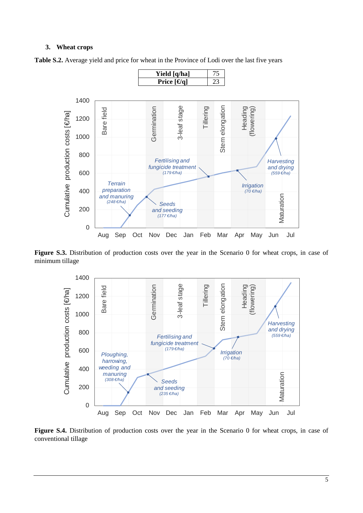#### **3. Wheat crops**



**Table S.2.** Average yield and price for wheat in the Province of Lodi over the last five years

Figure S.3. Distribution of production costs over the year in the Scenario 0 for wheat crops, in case of minimum tillage



Figure S.4. Distribution of production costs over the year in the Scenario 0 for wheat crops, in case of conventional tillage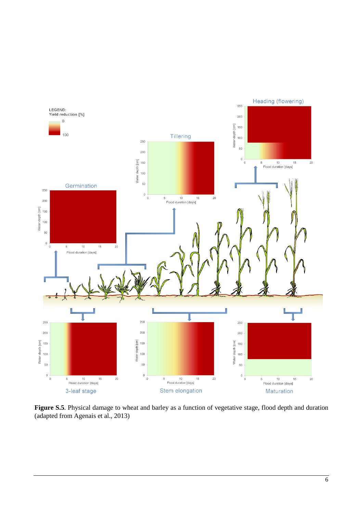

**Figure S.5**. Physical damage to wheat and barley as a function of vegetative stage, flood depth and duration (adapted from Agenais et al., 2013)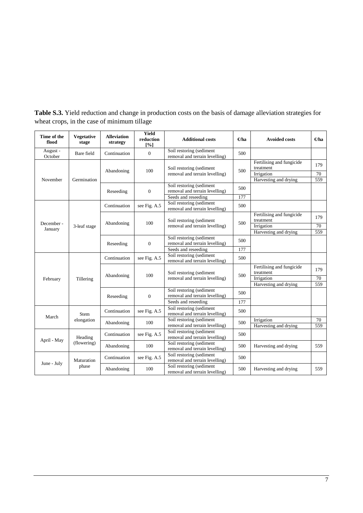| Time of the<br>flood  | <b>Vegetative</b><br>stage | <b>Alleviation</b><br>strategy | Yield<br>reduction<br>[%] | <b>Additional costs</b>                                                           | $\Theta$ ha | <b>Avoided costs</b>                                                          | $\Theta$ ha      |
|-----------------------|----------------------------|--------------------------------|---------------------------|-----------------------------------------------------------------------------------|-------------|-------------------------------------------------------------------------------|------------------|
| August -<br>October   | Bare field                 | Continuation                   | $\overline{0}$            | Soil restoring (sediment<br>removal and terrain levelling)                        | 500         |                                                                               |                  |
| November              | Germination                | Abandoning                     | 100                       | Soil restoring (sediment<br>removal and terrain levelling)                        | 500         | Fertilising and fungicide<br>treatment<br>Irrigation<br>Harvesting and drying | 179<br>70<br>559 |
|                       |                            | Reseeding                      | $\mathbf{0}$              | Soil restoring (sediment<br>removal and terrain levelling)<br>Seeds and reseeding | 500<br>177  |                                                                               |                  |
|                       |                            | Continuation                   | see Fig. A.5              | Soil restoring (sediment<br>removal and terrain levelling)                        | 500         |                                                                               |                  |
| December -<br>January | 3-leaf stage               | Abandoning                     | 100                       | Soil restoring (sediment<br>removal and terrain levelling)                        | 500         | Fertilising and fungicide<br>treatment<br>Irrigation<br>Harvesting and drying | 179<br>70<br>559 |
|                       |                            | Reseeding                      | $\mathbf{0}$              | Soil restoring (sediment<br>removal and terrain levelling)<br>Seeds and reseeding | 500<br>177  |                                                                               |                  |
|                       |                            | Continuation                   | see Fig. A.5              | Soil restoring (sediment<br>removal and terrain levelling)                        | 500         |                                                                               |                  |
| February              | Tillering                  | Abandoning                     | 100                       | Soil restoring (sediment<br>removal and terrain levelling)                        | 500         | Fertilising and fungicide<br>treatment<br>Irrigation<br>Harvesting and drying | 179<br>70<br>559 |
|                       |                            | Reseeding                      | $\overline{0}$            | Soil restoring (sediment<br>removal and terrain levelling)                        | 500         |                                                                               |                  |
|                       |                            |                                |                           | Seeds and reseeding<br>Soil restoring (sediment                                   | 177         |                                                                               |                  |
|                       | <b>Stem</b>                | Continuation                   | see Fig. A.5              | removal and terrain levelling)                                                    | 500         |                                                                               |                  |
| March                 | elongation                 | Abandoning                     | 100                       | Soil restoring (sediment<br>removal and terrain levelling)                        | 500         | Irrigation<br>Harvesting and drying                                           | 70<br>559        |
| April - May           | Heading                    | Continuation                   | see Fig. A.5              | Soil restoring (sediment<br>removal and terrain levelling)                        | 500         |                                                                               |                  |
|                       | (flowering)                | Abandoning                     | 100                       | Soil restoring (sediment<br>removal and terrain levelling)                        | 500         | Harvesting and drying                                                         | 559              |
| June - July           | Maturation                 | Continuation                   | see Fig. A.5              | Soil restoring (sediment<br>removal and terrain levelling)                        | 500         |                                                                               |                  |
|                       | phase                      | Abandoning                     | 100                       | Soil restoring (sediment<br>removal and terrain levelling)                        | 500         | Harvesting and drying                                                         | 559              |

**Table S.3.** Yield reduction and change in production costs on the basis of damage alleviation strategies for wheat crops, in the case of minimum tillage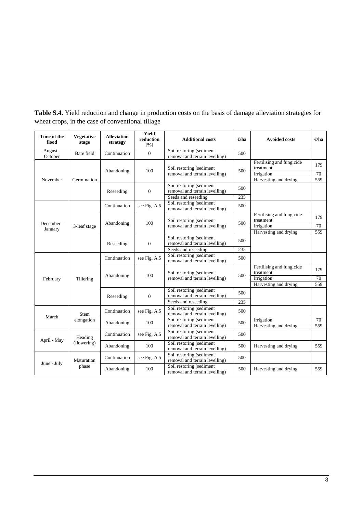| Time of the<br>flood  | <b>Vegetative</b><br>stage | <b>Alleviation</b><br>strategy | Yield<br>reduction<br>[%] | <b>Additional costs</b>                                                           | $\Theta$ ha | <b>Avoided costs</b>                                                          | $\Theta$ ha      |
|-----------------------|----------------------------|--------------------------------|---------------------------|-----------------------------------------------------------------------------------|-------------|-------------------------------------------------------------------------------|------------------|
| August -<br>October   | Bare field                 | Continuation                   | $\overline{0}$            | Soil restoring (sediment<br>removal and terrain levelling)                        | 500         |                                                                               |                  |
| November              | Germination                | Abandoning                     | 100                       | Soil restoring (sediment<br>removal and terrain levelling)                        | 500         | Fertilising and fungicide<br>treatment<br>Irrigation<br>Harvesting and drying | 179<br>70<br>559 |
|                       |                            | Reseeding                      | $\mathbf{0}$              | Soil restoring (sediment<br>removal and terrain levelling)<br>Seeds and reseeding | 500<br>235  |                                                                               |                  |
|                       |                            | Continuation                   | see Fig. A.5              | Soil restoring (sediment<br>removal and terrain levelling)                        | 500         |                                                                               |                  |
| December -<br>January | 3-leaf stage               | Abandoning                     | 100                       | Soil restoring (sediment<br>removal and terrain levelling)                        | 500         | Fertilising and fungicide<br>treatment<br>Irrigation<br>Harvesting and drying | 179<br>70<br>559 |
|                       |                            | Reseeding                      | $\mathbf{0}$              | Soil restoring (sediment<br>removal and terrain levelling)<br>Seeds and reseeding | 500<br>235  |                                                                               |                  |
|                       |                            | Continuation                   | see Fig. A.5              | Soil restoring (sediment<br>removal and terrain levelling)                        | 500         |                                                                               |                  |
| February              | Tillering                  | Abandoning                     | 100                       | Soil restoring (sediment<br>removal and terrain levelling)                        | 500         | Fertilising and fungicide<br>treatment<br>Irrigation<br>Harvesting and drying | 179<br>70<br>559 |
|                       |                            | Reseeding                      | $\overline{0}$            | Soil restoring (sediment<br>removal and terrain levelling)                        | 500         |                                                                               |                  |
|                       |                            |                                |                           | Seeds and reseeding                                                               | 235         |                                                                               |                  |
| March                 | <b>Stem</b>                | Continuation                   | see Fig. A.5              | Soil restoring (sediment<br>removal and terrain levelling)                        | 500         |                                                                               |                  |
|                       | elongation                 | Abandoning                     | 100                       | Soil restoring (sediment<br>removal and terrain levelling)                        | 500         | Irrigation<br>Harvesting and drying                                           | 70<br>559        |
| April - May           | Heading                    | Continuation                   | see Fig. A.5              | Soil restoring (sediment<br>removal and terrain levelling)                        | 500         |                                                                               |                  |
|                       | (flowering)                | Abandoning                     | 100                       | Soil restoring (sediment<br>removal and terrain levelling)                        | 500         | Harvesting and drying                                                         | 559              |
|                       | Maturation                 | Continuation                   | see Fig. A.5              | Soil restoring (sediment<br>removal and terrain levelling)                        | 500         |                                                                               |                  |
| June - July           | phase                      | Abandoning                     | 100                       | Soil restoring (sediment<br>removal and terrain levelling)                        | 500         | Harvesting and drying                                                         | 559              |

**Table S.4.** Yield reduction and change in production costs on the basis of damage alleviation strategies for wheat crops, in the case of conventional tillage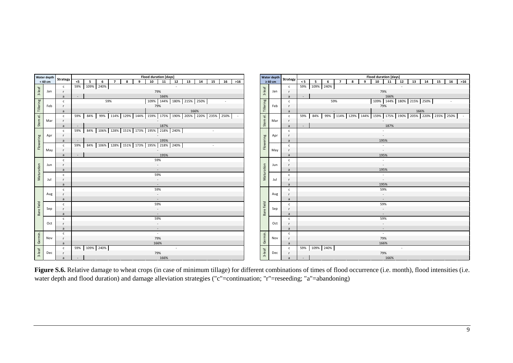|                      | Water depth |                |        |                |               |                |                                                                                           |              | <b>Flood duration [days]</b> |      |        |    |                          |        |    |       |                                    |                          | Strategy       |                |                |     |                |   |                                                                           | <b>Flood duration [days]</b> |                          |    |      |                          |    |    |       |
|----------------------|-------------|----------------|--------|----------------|---------------|----------------|-------------------------------------------------------------------------------------------|--------------|------------------------------|------|--------|----|--------------------------|--------|----|-------|------------------------------------|--------------------------|----------------|----------------|----------------|-----|----------------|---|---------------------------------------------------------------------------|------------------------------|--------------------------|----|------|--------------------------|----|----|-------|
|                      | $< 60$ cm   | Strategy       | $<$ 5  | 5 <sub>5</sub> | 6             | $\overline{7}$ | 8                                                                                         | $\mathbf{q}$ | 10                           | 11   | 12     | 13 | 14                       | 15     | 16 | $>16$ |                                    | Water depth $\geq 60$ cm |                | < 5            | 5 <sup>5</sup> | 6   | $\overline{ }$ | 8 | 9                                                                         | 10                           | 11                       | 12 | 13   | 14                       | 15 | 16 | $>16$ |
|                      |             | $\mathsf{C}$   |        |                | 59% 109% 240% |                |                                                                                           |              |                              |      | $\sim$ |    |                          |        |    |       |                                    |                          | $\mathsf{C}$   |                | 59% 109% 240%  |     |                |   |                                                                           |                              |                          |    |      |                          |    |    |       |
| $3$ -leaf            | Jan         | - r            |        |                |               |                |                                                                                           |              | 79%                          |      |        |    |                          |        |    |       | $3$ -leaf                          | Jan                      | $\mathbf{r}$   |                |                |     |                |   |                                                                           |                              | 79%                      |    |      |                          |    |    |       |
|                      |             | $\overline{a}$ | $\sim$ |                |               |                |                                                                                           |              |                              | 166% |        |    |                          |        |    |       |                                    |                          | $\overline{a}$ | $\mathbb{Z}^2$ |                |     |                |   |                                                                           |                              | 166%                     |    |      |                          |    |    |       |
|                      |             |                |        |                |               | 59%            |                                                                                           |              |                              |      |        |    | 109% 144% 180% 215% 250% |        |    |       |                                    |                          |                |                |                | 59% |                |   |                                                                           |                              |                          |    |      | 109% 144% 180% 215% 250% |    |    |       |
| Tillering            |             | $\mathsf{C}$   |        |                |               |                |                                                                                           |              |                              |      |        |    |                          |        |    |       | Tillering                          |                          | $\mathsf{C}$   |                |                |     |                |   |                                                                           |                              |                          |    |      |                          |    |    |       |
|                      | Feb         | - r            |        |                |               |                |                                                                                           |              | 79%                          |      |        |    |                          |        |    |       |                                    | Feb                      |                |                |                |     |                |   |                                                                           |                              | 79%                      |    |      |                          |    |    |       |
|                      |             | a              |        |                |               | $\sim$         |                                                                                           |              |                              |      |        |    | 166%                     |        |    |       |                                    |                          | $\overline{a}$ |                |                |     |                |   |                                                                           |                              |                          |    | 166% |                          |    |    |       |
| $\overline{\bullet}$ |             | $\mathsf{c}$   |        |                |               |                | 59%   84%   99%   114%   129%   144%   159%   175%   190%   205%   220%   235%   250%   - |              |                              |      |        |    |                          |        |    |       | $\overrightarrow{\mathbb{\omega}}$ |                          | $\mathbf{c}$   |                | 59% 84%        |     |                |   | 99%   114%   129%   144%   159%   175%   190%   205%   220%   235%   250% |                              |                          |    |      |                          |    |    |       |
| Stem                 | Mar         | $\mathsf{r}$   |        |                |               |                |                                                                                           |              |                              |      |        |    |                          |        |    |       | Stem                               | Mar                      | $\mathsf{r}$   |                |                |     |                |   |                                                                           |                              |                          |    |      |                          |    |    |       |
|                      |             | a              |        |                |               |                |                                                                                           |              |                              | 187% |        |    |                          |        |    |       |                                    |                          | a              | $\mathcal{L}$  |                |     |                |   |                                                                           |                              | 187%                     |    |      |                          |    |    |       |
|                      |             | $\mathsf{C}$   |        |                |               |                | 59% 84% 106% 128% 151% 173% 195% 218% 240%                                                |              |                              |      |        |    |                          | $\sim$ |    |       |                                    |                          | $\mathsf{c}$   |                |                |     |                |   |                                                                           |                              |                          |    |      |                          |    |    |       |
|                      | Apr         | <b>r</b>       |        |                |               |                |                                                                                           |              |                              |      |        |    |                          |        |    |       |                                    | Apr                      |                |                |                |     |                |   |                                                                           |                              | $\sim$                   |    |      |                          |    |    |       |
|                      |             | a              |        |                |               |                |                                                                                           |              |                              | 195% |        |    |                          |        |    |       |                                    |                          | a              |                |                |     |                |   |                                                                           |                              | 195%                     |    |      |                          |    |    |       |
| Flowering            |             | $\mathsf{c}$   |        |                |               |                | 59% 84% 106% 128% 151% 173% 195% 218% 240%                                                |              |                              |      |        |    |                          | $\sim$ |    |       | Flowering                          |                          | $\mathbf{c}$   |                |                |     |                |   |                                                                           |                              | $\sim$                   |    |      |                          |    |    |       |
|                      | May         |                |        |                |               |                |                                                                                           |              |                              |      |        |    |                          |        |    |       |                                    | May                      | $\mathbf{r}$   |                |                |     |                |   |                                                                           |                              | $\sim$                   |    |      |                          |    |    |       |
|                      |             | a              | $\sim$ |                |               |                |                                                                                           |              |                              | 195% |        |    |                          |        |    |       |                                    |                          | $\overline{a}$ |                |                |     |                |   |                                                                           |                              | 195%                     |    |      |                          |    |    |       |
|                      |             | $\mathsf{c}$   |        |                |               |                |                                                                                           |              | 59%                          |      |        |    |                          |        |    |       |                                    |                          | $\mathbf{c}$   |                |                |     |                |   |                                                                           |                              | $\sim$                   |    |      |                          |    |    |       |
|                      | Jun         | $\mathsf{r}$   |        |                |               |                |                                                                                           |              | $\overline{\phantom{a}}$     |      |        |    |                          |        |    |       |                                    | Jun                      |                |                |                |     |                |   |                                                                           |                              | $\sim$                   |    |      |                          |    |    |       |
|                      |             | a              |        |                |               |                |                                                                                           |              | $\overline{\phantom{a}}$     |      |        |    |                          |        |    |       |                                    |                          | a,             |                |                |     |                |   |                                                                           |                              | 195%                     |    |      |                          |    |    |       |
| Maturation           |             | $\mathsf{C}$   |        |                |               |                |                                                                                           |              | 59%                          |      |        |    |                          |        |    |       | Maturation                         |                          | $\mathsf{c}$   |                |                |     |                |   |                                                                           |                              | $\sim$                   |    |      |                          |    |    |       |
|                      | Jul         | $\mathsf{r}$   |        |                |               |                |                                                                                           |              | $\sim$                       |      |        |    |                          |        |    |       |                                    | Jul                      | $\mathbf{r}$   |                |                |     |                |   |                                                                           |                              | $\sim$                   |    |      |                          |    |    |       |
|                      |             | $\overline{a}$ |        |                |               |                |                                                                                           |              | $\overline{\phantom{a}}$     |      |        |    |                          |        |    |       |                                    |                          | $\overline{a}$ |                |                |     |                |   |                                                                           |                              | 195%                     |    |      |                          |    |    |       |
|                      |             | $\mathsf{c}$   |        |                |               |                |                                                                                           |              | 59%                          |      |        |    |                          |        |    |       |                                    |                          | $\mathbf{c}$   |                |                |     |                |   |                                                                           |                              | 59%                      |    |      |                          |    |    |       |
|                      | Aug         | $\mathsf{r}$   |        |                |               |                |                                                                                           |              | $\overline{\phantom{a}}$     |      |        |    |                          |        |    |       |                                    | Aug                      | $\mathsf{r}$   |                |                |     |                |   |                                                                           |                              | $\overline{\phantom{a}}$ |    |      |                          |    |    |       |
|                      |             | $\overline{a}$ |        |                |               |                |                                                                                           |              | $\overline{\phantom{a}}$     |      |        |    |                          |        |    |       |                                    |                          | $\overline{a}$ |                |                |     |                |   |                                                                           |                              | $\sim$                   |    |      |                          |    |    |       |
|                      |             | $\mathsf{c}$   |        |                |               |                |                                                                                           |              | 59%                          |      |        |    |                          |        |    |       |                                    |                          | $\mathsf{c}$   |                |                |     |                |   |                                                                           |                              | 59%                      |    |      |                          |    |    |       |
| Bare field           | Sep         | $\mathsf{r}$   |        |                |               |                |                                                                                           |              | $\overline{\phantom{a}}$     |      |        |    |                          |        |    |       | Bare field                         | Sep                      | $\mathsf{r}$   |                |                |     |                |   |                                                                           |                              | $\overline{\phantom{a}}$ |    |      |                          |    |    |       |
|                      |             | $\overline{a}$ |        |                |               |                |                                                                                           |              | $\sim$                       |      |        |    |                          |        |    |       |                                    |                          | a              |                |                |     |                |   |                                                                           |                              | $\sim$                   |    |      |                          |    |    |       |
|                      |             | $\mathsf{C}$   |        |                |               |                |                                                                                           |              | 59%                          |      |        |    |                          |        |    |       |                                    |                          | $\mathsf{C}$   |                |                |     |                |   |                                                                           |                              | 59%                      |    |      |                          |    |    |       |
|                      | Oct         | $\mathsf{r}$   |        |                |               |                |                                                                                           |              | $\overline{\phantom{a}}$     |      |        |    |                          |        |    |       |                                    | Oct                      | $\mathsf{r}$   |                |                |     |                |   |                                                                           |                              | $\overline{\phantom{a}}$ |    |      |                          |    |    |       |
|                      |             | a              |        |                |               |                |                                                                                           |              | $\sim$                       |      |        |    |                          |        |    |       |                                    |                          | a              |                |                |     |                |   |                                                                           |                              | $\sim$                   |    |      |                          |    |    |       |
|                      |             | $\mathsf{C}$   |        |                |               |                |                                                                                           |              | ×                            |      |        |    |                          |        |    |       |                                    |                          | $\mathsf{c}$   |                |                |     |                |   |                                                                           |                              | $\sim$                   |    |      |                          |    |    |       |
| Germin.              | Nov         | $\mathsf{r}$   |        |                |               |                |                                                                                           |              | 79%                          |      |        |    |                          |        |    |       | Germin.                            | Nov                      | $\mathsf{r}$   |                |                |     |                |   |                                                                           |                              | 79%                      |    |      |                          |    |    |       |
|                      |             | a              |        |                |               |                |                                                                                           |              | 166%                         |      |        |    |                          |        |    |       |                                    |                          | a              |                |                |     |                |   |                                                                           |                              | 166%                     |    |      |                          |    |    |       |
|                      |             | $\mathsf{c}$   |        |                | 59% 109% 240% |                |                                                                                           |              |                              |      |        |    |                          |        |    |       |                                    |                          | $\mathsf{C}$   |                | 59% 109% 240%  |     |                |   |                                                                           |                              |                          |    |      |                          |    |    |       |
| $3$ -leaf            | Dec         | <b>r</b>       |        |                |               |                |                                                                                           |              | 79%                          |      |        |    |                          |        |    |       | $3$ -leaf                          | Dec                      | r              |                |                |     |                |   |                                                                           |                              | 79%                      |    |      |                          |    |    |       |
|                      |             | a              | $\sim$ |                |               |                |                                                                                           |              |                              | 166% |        |    |                          |        |    |       |                                    |                          | a              | $\omega$       |                |     |                |   |                                                                           |                              | 166%                     |    |      |                          |    |    |       |

**Figure S.6.** Relative damage to wheat crops (in case of minimum tillage) for different combinations of times of flood occurrence (i.e. month), flood intensities (i.e. water depth and flood duration) and damage alleviation strategies ("c"=continuation; "r"=reseeding; "a"=abandoning)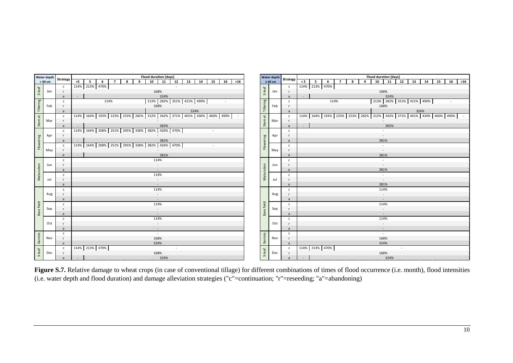|                      | Water depth |                |              |        |       |                 |                |   |              | <b>Flood duration [days]</b>                                                                 |        |              |        |    |     |                                    |     |                                     |                |                |                                                                                              |                |   |   | <b>Flood duration [days]</b> |                          |    |                          |      |       |    |       |
|----------------------|-------------|----------------|--------------|--------|-------|-----------------|----------------|---|--------------|----------------------------------------------------------------------------------------------|--------|--------------|--------|----|-----|------------------------------------|-----|-------------------------------------|----------------|----------------|----------------------------------------------------------------------------------------------|----------------|---|---|------------------------------|--------------------------|----|--------------------------|------|-------|----|-------|
|                      | < 60 cm     |                | Strategy     | < 5    | $5-1$ | $6\overline{6}$ | $\overline{7}$ | 8 | $\mathbf{q}$ | 10<br>$\overline{11}$                                                                        | 12     | $13 \mid 14$ | 15     | 16 | >16 |                                    |     | Water depth Strategy - $\geq 60$ cm |                | $\lt 5$ 5      | 6                                                                                            | $\overline{7}$ | 8 | 9 |                              | $10$ 11                  | 12 | 13                       |      | 14 15 | 16 | $>16$ |
|                      |             |                | $\mathsf{c}$ |        |       | 114% 213% 470%  |                |   |              |                                                                                              | $\sim$ |              |        |    |     |                                    |     | $\mathsf{C}$                        |                | 114% 213% 470% |                                                                                              |                |   |   |                              |                          |    |                          |      |       |    |       |
| $3$ -leaf            | Jan         |                | $\mathsf{r}$ |        |       |                 |                |   |              | 168%                                                                                         |        |              |        |    |     | $3$ -leaf                          | Jan | $\mathsf{r}$                        |                |                |                                                                                              |                |   |   |                              | 168%                     |    |                          |      |       |    |       |
|                      |             |                | a            | $\sim$ |       |                 |                |   |              | 324%                                                                                         |        |              |        |    |     |                                    |     | $\overline{a}$                      | r a b          |                |                                                                                              |                |   |   |                              | 324%                     |    |                          |      |       |    |       |
|                      |             |                | $\mathsf{C}$ |        |       |                 | 114%           |   |              | 213% 282% 351% 421% 490%                                                                     |        |              |        |    |     |                                    |     | $\mathsf{C}$                        |                |                | 114%                                                                                         |                |   |   |                              |                          |    | 213% 282% 351% 421% 490% |      |       |    |       |
|                      | Feb         |                | $\mathsf{r}$ |        |       |                 |                |   |              | 168%                                                                                         |        |              |        |    |     |                                    | Feb | $\mathbf{r}$                        |                |                |                                                                                              |                |   |   |                              | 168%                     |    |                          |      |       |    |       |
| Tillering            |             |                |              |        |       |                 |                |   |              |                                                                                              |        |              |        |    |     | Tillering                          |     |                                     |                |                |                                                                                              |                |   |   |                              |                          |    |                          |      |       |    |       |
|                      |             | a              |              |        |       |                 | $\sim$         |   |              |                                                                                              |        | 324%         |        |    |     |                                    |     | $\overline{a}$                      |                |                | 114%   164%   193%   223%   253%   282%   312%   342%   371%   401%   430%   460%   490%   - |                |   |   |                              |                          |    |                          | 324% |       |    |       |
| $\overline{\bullet}$ |             |                | $\mathsf{c}$ |        |       |                 |                |   |              | 114%   164%   193%   223%   253%   282%   312%   342%   371%   401%   430%   460%   490%   - |        |              |        |    |     | $\overrightarrow{\mathbb{\omega}}$ |     | $\mathbf{c}$                        |                |                |                                                                                              |                |   |   |                              |                          |    |                          |      |       |    |       |
| Stem                 | Mar         |                | $\mathsf{r}$ |        |       |                 |                |   |              |                                                                                              |        |              |        |    |     | Stem                               | Mar | $\mathsf{r}$                        |                |                |                                                                                              |                |   |   |                              |                          |    |                          |      |       |    |       |
|                      |             |                | a            |        |       |                 |                |   |              | 365%                                                                                         |        |              |        |    |     |                                    |     | a                                   | $\sim$         |                |                                                                                              |                |   |   |                              | 365%                     |    |                          |      |       |    |       |
|                      |             |                | $\mathsf{c}$ |        |       |                 |                |   |              | 114% 164% 208% 251% 295% 338% 382% 426% 470%                                                 |        |              | $\sim$ |    |     |                                    |     | $\mathbf{c}$                        |                |                |                                                                                              |                |   |   |                              |                          |    |                          |      |       |    |       |
|                      | Apr         |                | $\mathsf{r}$ |        |       |                 |                |   |              |                                                                                              |        |              |        |    |     |                                    | Apr |                                     |                |                |                                                                                              |                |   |   |                              | $\sim$                   |    |                          |      |       |    |       |
|                      |             |                | a            |        |       |                 |                |   |              | 381%                                                                                         |        |              |        |    |     |                                    |     | a                                   |                |                |                                                                                              |                |   |   |                              | 381%                     |    |                          |      |       |    |       |
| Flowering            |             |                | $\mathsf{c}$ |        |       |                 |                |   |              | 114% 164% 208% 251% 295% 338% 382% 426% 470%                                                 |        |              | $\sim$ |    |     | Flowering                          |     | $\mathbf{c}$                        |                |                |                                                                                              |                |   |   |                              | $\sim$                   |    |                          |      |       |    |       |
|                      | May         |                |              |        |       |                 |                |   |              |                                                                                              |        |              |        |    |     |                                    | May | $\mathbf{r}$                        |                |                |                                                                                              |                |   |   |                              | $\sim$                   |    |                          |      |       |    |       |
|                      |             |                | a            | $\sim$ |       |                 |                |   |              | 381%                                                                                         |        |              |        |    |     |                                    |     | $\overline{a}$                      |                |                |                                                                                              |                |   |   |                              | 381%                     |    |                          |      |       |    |       |
|                      |             |                | $\mathsf{c}$ |        |       |                 |                |   |              | 114%                                                                                         |        |              |        |    |     |                                    |     | $\mathbf{c}$                        |                |                |                                                                                              |                |   |   |                              | $\sim$                   |    |                          |      |       |    |       |
|                      | Jun         |                | $\mathsf{r}$ |        |       |                 |                |   |              | $\sim$                                                                                       |        |              |        |    |     |                                    | Jun |                                     |                |                |                                                                                              |                |   |   |                              | $\sim$                   |    |                          |      |       |    |       |
| Maturation           |             | a              |              |        |       |                 |                |   |              | $\sim$                                                                                       |        |              |        |    |     | Maturation                         |     | $\overline{a}$                      |                |                |                                                                                              |                |   |   |                              | 381%                     |    |                          |      |       |    |       |
|                      |             |                | $\mathsf{c}$ |        |       |                 |                |   |              | 114%                                                                                         |        |              |        |    |     |                                    |     | $\mathsf{c}$                        |                |                |                                                                                              |                |   |   |                              | $\sim$                   |    |                          |      |       |    |       |
|                      | Jul         |                | $\mathsf{r}$ |        |       |                 |                |   |              | $\sim$                                                                                       |        |              |        |    |     |                                    | Jul | $\mathbf{r}$                        |                |                |                                                                                              |                |   |   |                              | $\sim$                   |    |                          |      |       |    |       |
|                      |             | $\overline{a}$ |              |        |       |                 |                |   |              |                                                                                              |        |              |        |    |     |                                    |     | $\overline{a}$                      |                |                |                                                                                              |                |   |   |                              | 381%                     |    |                          |      |       |    |       |
|                      |             |                | $\mathsf{c}$ |        |       |                 |                |   |              | 114%                                                                                         |        |              |        |    |     |                                    |     | $\mathbf{c}$                        |                |                |                                                                                              |                |   |   |                              | 114%                     |    |                          |      |       |    |       |
|                      | Aug         |                | $\mathsf{r}$ |        |       |                 |                |   |              | $\overline{\phantom{a}}$                                                                     |        |              |        |    |     |                                    | Aug | $\mathbf{r}$                        |                |                |                                                                                              |                |   |   |                              | $\overline{\phantom{a}}$ |    |                          |      |       |    |       |
|                      |             | $\overline{a}$ |              |        |       |                 |                |   |              |                                                                                              |        |              |        |    |     |                                    |     | $\overline{a}$                      |                |                |                                                                                              |                |   |   |                              |                          |    |                          |      |       |    |       |
| Bare field           |             |                | $\mathsf{c}$ |        |       |                 |                |   |              | 114%                                                                                         |        |              |        |    |     | Bare field                         |     | $\mathsf{C}$                        |                |                |                                                                                              |                |   |   |                              | 114%                     |    |                          |      |       |    |       |
|                      | Sep         |                | $\mathsf{r}$ |        |       |                 |                |   |              |                                                                                              |        |              |        |    |     |                                    | Sep | $\mathsf{r}$                        |                |                |                                                                                              |                |   |   |                              |                          |    |                          |      |       |    |       |
|                      |             | $\overline{a}$ |              |        |       |                 |                |   |              |                                                                                              |        |              |        |    |     |                                    |     | $\overline{a}$                      |                |                |                                                                                              |                |   |   |                              | $\overline{\phantom{a}}$ |    |                          |      |       |    |       |
|                      |             |                | $\mathsf{C}$ |        |       |                 |                |   |              | 114%                                                                                         |        |              |        |    |     |                                    |     | $\mathsf{C}$                        |                |                |                                                                                              |                |   |   |                              | 114%                     |    |                          |      |       |    |       |
|                      | Oct         |                | $\mathsf{r}$ |        |       |                 |                |   |              | $\overline{\phantom{a}}$                                                                     |        |              |        |    |     |                                    | Oct | $\mathsf{r}$                        |                |                |                                                                                              |                |   |   |                              | $\overline{\phantom{a}}$ |    |                          |      |       |    |       |
|                      |             |                | a            |        |       |                 |                |   |              | $\sim$                                                                                       |        |              |        |    |     |                                    |     | a                                   |                |                |                                                                                              |                |   |   |                              | $\sim$                   |    |                          |      |       |    |       |
|                      |             |                | $\mathsf{C}$ |        |       |                 |                |   |              | $\sim$                                                                                       |        |              |        |    |     |                                    |     | $\mathsf{c}$                        |                |                |                                                                                              |                |   |   |                              | $\sim$                   |    |                          |      |       |    |       |
| Germin.              | Nov         |                | $\mathsf{r}$ |        |       |                 |                |   |              | 168%                                                                                         |        |              |        |    |     | Germin.                            | Nov | $\mathsf{r}$                        |                |                |                                                                                              |                |   |   |                              | 168%                     |    |                          |      |       |    |       |
|                      |             |                | a            |        |       |                 |                |   |              | 324%                                                                                         |        |              |        |    |     |                                    |     | a                                   |                |                |                                                                                              |                |   |   |                              | 324%                     |    |                          |      |       |    |       |
|                      |             |                | $\mathsf{C}$ |        |       | 114% 213% 470%  |                |   |              |                                                                                              |        |              |        |    |     |                                    |     | $\mathsf{C}$                        |                | 114% 213% 470% |                                                                                              |                |   |   |                              |                          |    |                          |      |       |    |       |
| $3$ -leaf            | Dec         |                | <b>r</b>     |        |       |                 |                |   |              | 168%                                                                                         |        |              |        |    |     | $3$ -leaf                          | Dec | r                                   |                |                |                                                                                              |                |   |   |                              | 168%                     |    |                          |      |       |    |       |
|                      |             |                | a            | $\sim$ |       |                 |                |   |              | 324%                                                                                         |        |              |        |    |     |                                    |     | a                                   | $\sim$ $^{-1}$ |                |                                                                                              |                |   |   |                              | 324%                     |    |                          |      |       |    |       |

**Figure S.7.** Relative damage to wheat crops (in case of conventional tillage) for different combinations of times of flood occurrence (i.e. month), flood intensities (i.e. water depth and flood duration) and damage alleviation strategies ("c"=continuation; "r"=reseeding; "a"=abandoning)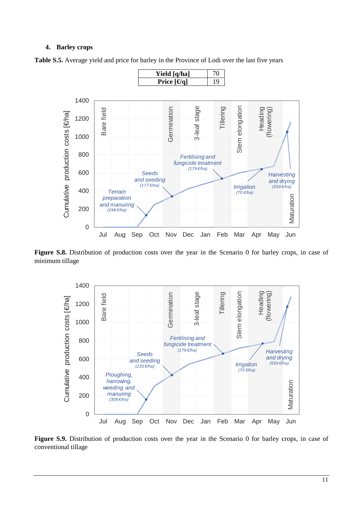#### **4. Barley crops**



**Table S.5.** Average yield and price for barley in the Province of Lodi over the last five years

Figure S.8. Distribution of production costs over the year in the Scenario 0 for barley crops, in case of minimum tillage



Figure S.9. Distribution of production costs over the year in the Scenario 0 for barley crops, in case of conventional tillage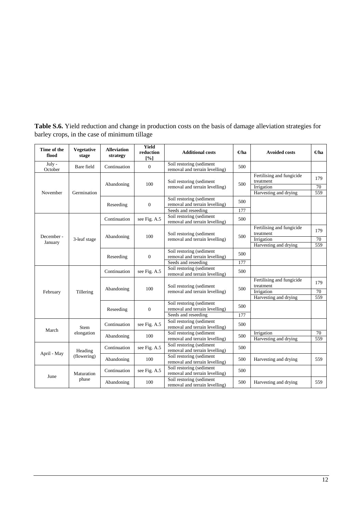| Time of the<br>flood  | <b>Vegetative</b><br>stage | <b>Alleviation</b><br>strategy | <b>Yield</b><br>reduction<br>[%] | <b>Additional costs</b>                                                           | $\Theta$ ha | <b>Avoided costs</b>                                                          | $\Theta$ ha      |
|-----------------------|----------------------------|--------------------------------|----------------------------------|-----------------------------------------------------------------------------------|-------------|-------------------------------------------------------------------------------|------------------|
| July -<br>October     | Bare field                 | Continuation                   | $\overline{0}$                   | Soil restoring (sediment<br>removal and terrain levelling)                        | 500         |                                                                               |                  |
| November              | Germination                | Abandoning                     | 100                              | Soil restoring (sediment<br>removal and terrain levelling)                        | 500         | Fertilising and fungicide<br>treatment<br>Irrigation<br>Harvesting and drying | 179<br>70<br>559 |
|                       |                            | Reseeding                      | $\overline{0}$                   | Soil restoring (sediment<br>removal and terrain levelling)                        | 500         |                                                                               |                  |
|                       |                            | Continuation                   | see Fig. A.5                     | Seeds and reseeding<br>Soil restoring (sediment<br>removal and terrain levelling) | 177<br>500  |                                                                               |                  |
| December -<br>January | 3-leaf stage               | Abandoning                     | 100                              | Soil restoring (sediment<br>removal and terrain levelling)                        | 500         | Fertilising and fungicide<br>treatment<br>Irrigation<br>Harvesting and drying | 179<br>70<br>559 |
|                       |                            | Reseeding                      | $\overline{0}$                   | Soil restoring (sediment<br>removal and terrain levelling)<br>Seeds and reseeding | 500<br>177  |                                                                               |                  |
|                       |                            | Continuation                   | see Fig. A.5                     | Soil restoring (sediment<br>removal and terrain levelling)                        | 500         |                                                                               |                  |
| February              | Tillering                  | Abandoning                     | 100                              | Soil restoring (sediment<br>removal and terrain levelling)                        | 500         | Fertilising and fungicide<br>treatment<br>Irrigation<br>Harvesting and drying | 179<br>70<br>559 |
|                       |                            | Reseeding                      | $\mathbf{0}$                     | Soil restoring (sediment<br>removal and terrain levelling)<br>Seeds and reseeding | 500<br>177  |                                                                               |                  |
|                       | Stem                       | Continuation                   | see Fig. A.5                     | Soil restoring (sediment<br>removal and terrain levelling)                        | 500         |                                                                               |                  |
| March                 | elongation                 | Abandoning                     | 100                              | Soil restoring (sediment<br>removal and terrain levelling)                        | 500         | Irrigation<br>Harvesting and drying                                           | 70<br>559        |
| April - May           | Heading                    | Continuation                   | see Fig. A.5                     | Soil restoring (sediment<br>removal and terrain levelling)                        | 500         |                                                                               |                  |
|                       | (flowering)                | Abandoning                     | 100                              | Soil restoring (sediment<br>removal and terrain levelling)                        | 500         | Harvesting and drying                                                         | 559              |
| June                  | Maturation                 | Continuation                   | see Fig. A.5                     | Soil restoring (sediment<br>removal and terrain levelling)                        | 500         |                                                                               |                  |
|                       | phase                      | Abandoning                     | 100                              | Soil restoring (sediment<br>removal and terrain levelling)                        | 500         | Harvesting and drying                                                         | 559              |

**Table S.6.** Yield reduction and change in production costs on the basis of damage alleviation strategies for barley crops, in the case of minimum tillage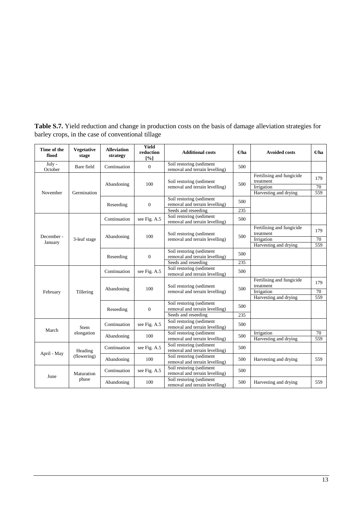| Time of the<br>flood  | <b>Vegetative</b><br>stage | <b>Alleviation</b><br>strategy | <b>Yield</b><br>reduction<br>[%] | <b>Additional costs</b>                                                                | $\Theta$ ha | <b>Avoided costs</b>                                                          | $\Theta$ ha      |
|-----------------------|----------------------------|--------------------------------|----------------------------------|----------------------------------------------------------------------------------------|-------------|-------------------------------------------------------------------------------|------------------|
| July -<br>October     | Bare field                 | Continuation                   | $\mathbf{0}$                     | Soil restoring (sediment<br>removal and terrain levelling)                             | 500         |                                                                               |                  |
| November              | Germination                | Abandoning                     | 100                              | Soil restoring (sediment<br>removal and terrain levelling)                             | 500         | Fertilising and fungicide<br>treatment<br>Irrigation<br>Harvesting and drying | 179<br>70<br>559 |
|                       |                            | Reseeding                      | $\mathbf{0}$                     | Soil restoring (sediment<br>removal and terrain levelling)<br>Seeds and reseeding      | 500<br>235  |                                                                               |                  |
|                       |                            | Continuation                   | see Fig. A.5                     | Soil restoring (sediment<br>removal and terrain levelling)                             | 500         |                                                                               |                  |
| December -<br>January | 3-leaf stage               | Abandoning                     | 100                              | Soil restoring (sediment<br>removal and terrain levelling)                             | 500         | Fertilising and fungicide<br>treatment<br>Irrigation<br>Harvesting and drying | 179<br>70<br>559 |
|                       |                            | Reseeding                      | $\overline{0}$                   | Soil restoring (sediment<br>removal and terrain levelling)<br>Seeds and reseeding      | 500<br>235  |                                                                               |                  |
|                       |                            | Continuation                   | see Fig. A.5                     | Soil restoring (sediment<br>removal and terrain levelling)                             | 500         |                                                                               |                  |
| February              | Tillering                  | Abandoning                     | 100                              | Soil restoring (sediment<br>removal and terrain levelling)                             | 500         | Fertilising and fungicide<br>treatment<br>Irrigation<br>Harvesting and drying | 179<br>70<br>559 |
|                       |                            | Reseeding                      | $\overline{0}$                   | Soil restoring (sediment<br>removal and terrain levelling)                             | 500         |                                                                               |                  |
|                       | Stem                       | Continuation                   | see Fig. A.5                     | Seeds and reseeding<br>Soil restoring (sediment<br>removal and terrain levelling)      | 235<br>500  |                                                                               |                  |
| March                 | elongation                 | Abandoning                     | 100                              | Soil restoring (sediment<br>removal and terrain levelling)                             | 500         | Irrigation<br>Harvesting and drying                                           | 70<br>559        |
| April - May           | Heading                    | Continuation                   | see Fig. A.5                     | Soil restoring (sediment<br>removal and terrain levelling)                             | 500         |                                                                               |                  |
|                       | (flowering)                | Abandoning                     | 100                              | Soil restoring (sediment<br>removal and terrain levelling)<br>Soil restoring (sediment | 500         | Harvesting and drying                                                         | 559              |
| June                  | Maturation<br>phase        | Continuation                   | see Fig. A.5                     | removal and terrain levelling)<br>Soil restoring (sediment                             | 500         |                                                                               |                  |
|                       |                            | Abandoning                     | 100                              | removal and terrain levelling)                                                         | 500         | Harvesting and drying                                                         | 559              |

**Table S.7.** Yield reduction and change in production costs on the basis of damage alleviation strategies for barley crops, in the case of conventional tillage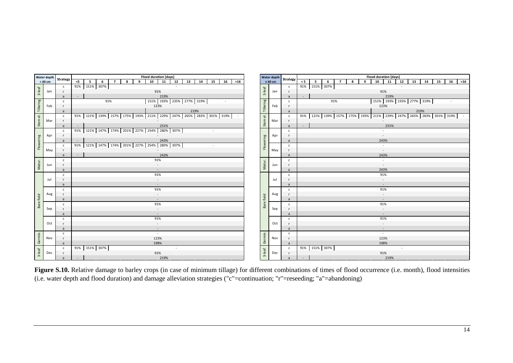|                      | Water depth |     |                |               |                |   |                |                                                                                         |              | Flood duration [days]            |                 |    |      |    |        |    |        |                                    | Water depth  | Strategy       |          |                                                                                         |     |                |   |   | <b>Flood duration [days]</b> |      |        |                                  |      |    |    |       |
|----------------------|-------------|-----|----------------|---------------|----------------|---|----------------|-----------------------------------------------------------------------------------------|--------------|----------------------------------|-----------------|----|------|----|--------|----|--------|------------------------------------|--------------|----------------|----------|-----------------------------------------------------------------------------------------|-----|----------------|---|---|------------------------------|------|--------|----------------------------------|------|----|----|-------|
|                      | $< 60$ cm   |     | Strategy       | $<$ 5         | 5 <sub>5</sub> | 6 | $\overline{7}$ | 8                                                                                       | $\mathbf{q}$ | $\overline{10}$                  | $\overline{11}$ | 12 | 13   | 14 | 15     | 16 | $>16$  |                                    | $\geq 60$ cm |                | $\leq 5$ | 5                                                                                       | - 6 | $\overline{7}$ | 8 | 9 | 10                           | 11   | $12\,$ | 13                               | 14   | 15 | 16 | $>16$ |
|                      |             |     | $\mathsf{c}$   | 91% 151% 307% |                |   |                |                                                                                         |              |                                  |                 |    |      |    |        |    |        |                                    |              | $\mathsf{C}$   |          | 91% 151% 307%                                                                           |     |                |   |   |                              |      |        |                                  |      |    |    |       |
| 3-leaf               | Jan         |     |                |               |                |   |                |                                                                                         |              | 91%                              |                 |    |      |    |        |    |        | $3$ -leaf                          | Jan          |                |          |                                                                                         |     |                |   |   | 91%                          |      |        |                                  |      |    |    |       |
|                      |             |     | a              |               |                |   |                |                                                                                         |              |                                  | 219%            |    |      |    |        |    |        |                                    |              |                | $\sim$   |                                                                                         |     |                |   |   |                              | 219% |        |                                  |      |    |    |       |
|                      |             |     | $\mathsf{C}$   |               |                |   | 91%            |                                                                                         |              | 151%   193%   235%   277%   319% |                 |    |      |    |        |    |        |                                    |              | $\mathsf{C}$   |          |                                                                                         |     | 91%            |   |   |                              |      |        | 151%   193%   235%   277%   319% |      |    |    |       |
|                      | Feb         |     |                |               |                |   |                |                                                                                         |              | 123%                             |                 |    |      |    |        |    |        |                                    | Feb          |                |          |                                                                                         |     |                |   |   | 123%                         |      |        |                                  |      |    |    |       |
| Tillering            |             |     | a              |               |                |   |                |                                                                                         |              |                                  |                 |    | 219% |    |        |    |        | Tillering                          |              | a              |          |                                                                                         |     |                |   |   |                              |      |        |                                  | 219% |    |    |       |
| $\overline{\bullet}$ |             |     | c              |               |                |   |                | 91%   121%   139%   157%   175%   193%   211%   229%   247%   265%   283%   301%   319% |              |                                  |                 |    |      |    |        |    | $\sim$ | $\overrightarrow{\mathbb{\omega}}$ |              | c              |          | 91%   121%   139%   157%   175%   193%   211%   229%   247%   265%   283%   301%   319% |     |                |   |   |                              |      |        |                                  |      |    |    |       |
|                      | Mar         |     | - r            |               |                |   |                |                                                                                         |              |                                  |                 |    |      |    |        |    |        |                                    | Mar          | $\mathsf{r}$   |          |                                                                                         |     |                |   |   |                              |      |        |                                  |      |    |    |       |
| Stem                 |             |     | a              |               |                |   |                |                                                                                         |              |                                  | 231%            |    |      |    |        |    |        | Stem                               |              | $\overline{a}$ | $\sim$   |                                                                                         |     |                |   |   |                              | 231% |        |                                  |      |    |    |       |
|                      |             |     | $\mathsf{C}$   |               |                |   |                | 91% 121% 147% 174% 201% 227% 254% 280% 307%                                             |              |                                  |                 |    |      |    | $\sim$ |    |        |                                    |              | c              |          |                                                                                         |     |                |   |   |                              |      |        |                                  |      |    |    |       |
|                      | Apr         |     | <b>r</b>       |               |                |   |                |                                                                                         |              |                                  |                 |    |      |    |        |    |        |                                    | Apr          |                |          |                                                                                         |     |                |   |   |                              |      |        |                                  |      |    |    |       |
|                      |             |     | a              |               |                |   |                |                                                                                         |              |                                  | 243%            |    |      |    |        |    |        |                                    |              | a              |          |                                                                                         |     |                |   |   | 243%                         |      |        |                                  |      |    |    |       |
| Flowering            |             |     | $\mathsf{c}$   |               |                |   |                | 91% 121% 147% 174% 201% 227% 254% 280% 307%                                             |              |                                  |                 |    |      |    | $\sim$ |    |        | Flowering                          |              | $\mathsf{C}$   |          |                                                                                         |     |                |   |   | $\sim$                       |      |        |                                  |      |    |    |       |
|                      | May         |     |                |               |                |   |                |                                                                                         |              |                                  |                 |    |      |    |        |    |        |                                    | May          | $\mathsf{r}$   |          |                                                                                         |     |                |   |   | $\sim$                       |      |        |                                  |      |    |    |       |
|                      |             |     | a              | $\sim$        |                |   |                |                                                                                         |              |                                  | 243%            |    |      |    |        |    |        |                                    |              | a              |          |                                                                                         |     |                |   |   | 243%                         |      |        |                                  |      |    |    |       |
|                      |             |     | $\mathsf{c}$   |               |                |   |                |                                                                                         |              | 91%                              |                 |    |      |    |        |    |        |                                    |              | $\mathsf{C}$   |          |                                                                                         |     |                |   |   | $\sim$                       |      |        |                                  |      |    |    |       |
| Matur.               | Jun         |     | <b>r</b>       |               |                |   |                |                                                                                         |              | $\overline{\phantom{a}}$         |                 |    |      |    |        |    |        | Matur.                             | Jun          | r              |          |                                                                                         |     |                |   |   | $\overline{\phantom{a}}$     |      |        |                                  |      |    |    |       |
|                      |             |     | a              |               |                |   |                |                                                                                         |              | $\sim$                           |                 |    |      |    |        |    |        |                                    |              | $\overline{a}$ |          |                                                                                         |     |                |   |   | 243%                         |      |        |                                  |      |    |    |       |
|                      |             |     | $\mathsf{c}$   |               |                |   |                |                                                                                         |              | 91%                              |                 |    |      |    |        |    |        |                                    |              | $\mathsf{C}$   |          |                                                                                         |     |                |   |   | 91%                          |      |        |                                  |      |    |    |       |
|                      | Jul         |     |                |               |                |   |                |                                                                                         |              | $\overline{\phantom{a}}$         |                 |    |      |    |        |    |        |                                    | Jul          | r              |          |                                                                                         |     |                |   |   | $\sim$                       |      |        |                                  |      |    |    |       |
|                      |             |     | -a             |               |                |   |                |                                                                                         |              | $\overline{\phantom{a}}$         |                 |    |      |    |        |    |        |                                    |              | a              |          |                                                                                         |     |                |   |   | $\sim$                       |      |        |                                  |      |    |    |       |
|                      |             |     | $\mathsf{c}$   |               |                |   |                |                                                                                         |              | 91%                              |                 |    |      |    |        |    |        |                                    |              | $\mathsf{c}$   |          |                                                                                         |     |                |   |   | 91%                          |      |        |                                  |      |    |    |       |
|                      |             | Aug |                |               |                |   |                |                                                                                         |              | $\overline{\phantom{a}}$         |                 |    |      |    |        |    |        |                                    | Aug          |                |          |                                                                                         |     |                |   |   | $\sim$                       |      |        |                                  |      |    |    |       |
|                      |             |     | -a             |               |                |   |                |                                                                                         |              | $\overline{\phantom{a}}$         |                 |    |      |    |        |    |        |                                    |              | a              |          |                                                                                         |     |                |   |   | $\sim$                       |      |        |                                  |      |    |    |       |
| Bare field           |             |     | $\mathsf{C}$   |               |                |   |                |                                                                                         |              | 91%                              |                 |    |      |    |        |    |        | Bare field                         |              | c              |          |                                                                                         |     |                |   |   | 91%                          |      |        |                                  |      |    |    |       |
|                      | Sep         |     |                |               |                |   |                |                                                                                         |              | $\overline{\phantom{a}}$         |                 |    |      |    |        |    |        |                                    | Sep          | r              |          |                                                                                         |     |                |   |   | $\overline{\phantom{a}}$     |      |        |                                  |      |    |    |       |
|                      |             |     |                |               |                |   |                |                                                                                         |              | -                                |                 |    |      |    |        |    |        |                                    |              |                |          |                                                                                         |     |                |   |   | $\sim$                       |      |        |                                  |      |    |    |       |
|                      |             |     | $\mathsf{c}$   |               |                |   |                |                                                                                         |              | 91%                              |                 |    |      |    |        |    |        |                                    |              | c              |          |                                                                                         |     |                |   |   | 91%                          |      |        |                                  |      |    |    |       |
|                      |             | Oct |                |               |                |   |                |                                                                                         |              | $\overline{\phantom{a}}$         |                 |    |      |    |        |    |        |                                    | Oct          | r              |          |                                                                                         |     |                |   |   | $\sim$                       |      |        |                                  |      |    |    |       |
|                      |             |     |                |               |                |   |                |                                                                                         |              | $\sim$                           |                 |    |      |    |        |    |        |                                    |              | $\overline{a}$ |          |                                                                                         |     |                |   |   | $\sim$                       |      |        |                                  |      |    |    |       |
|                      |             |     | $\mathsf{C}$   |               |                |   |                |                                                                                         |              | $\sim$                           |                 |    |      |    |        |    |        |                                    |              | c              |          |                                                                                         |     |                |   |   | $\sim$                       |      |        |                                  |      |    |    |       |
| Germin.              | Nov         |     |                |               |                |   |                |                                                                                         |              | 123%                             |                 |    |      |    |        |    |        | Germin.                            | Nov          |                |          |                                                                                         |     |                |   |   | 123%                         |      |        |                                  |      |    |    |       |
|                      |             |     | a              |               |                |   |                |                                                                                         |              | 198%                             |                 |    |      |    |        |    |        |                                    |              | a              |          |                                                                                         |     |                |   |   | 198%                         |      |        |                                  |      |    |    |       |
|                      |             |     | $\mathsf{C}$   | 91% 151% 307% |                |   |                |                                                                                         |              |                                  |                 |    |      |    |        |    |        |                                    |              | $\mathsf{C}$   |          | 91% 151% 307%                                                                           |     |                |   |   |                              |      |        |                                  |      |    |    |       |
| $3$ -leaf            | Dec         |     |                |               |                |   |                |                                                                                         |              | 91%                              |                 |    |      |    |        |    |        | $3$ -leaf                          | Dec          | $\mathsf{r}$   |          |                                                                                         |     |                |   |   | 91%                          |      |        |                                  |      |    |    |       |
|                      |             |     | $\overline{a}$ | $\sim$        |                |   |                |                                                                                         |              |                                  | 219%            |    |      |    |        |    |        |                                    |              | a              | $\sim$   |                                                                                         |     |                |   |   |                              | 219% |        |                                  |      |    |    |       |

**Figure S.10.** Relative damage to barley crops (in case of minimum tillage) for different combinations of times of flood occurrence (i.e. month), flood intensities (i.e. water depth and flood duration) and damage alleviation strategies ("c"=continuation; "r"=reseeding; "a"=abandoning)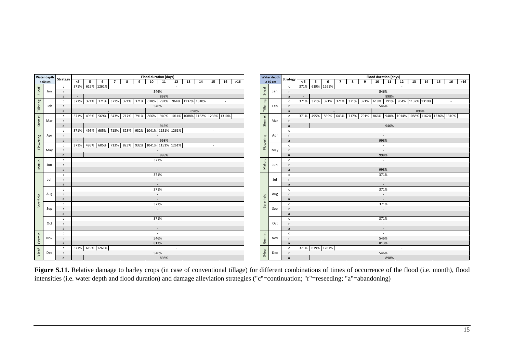|                      | Water depth |                 | Flood duration [days]                                                                                                                                      |                                    | Water depth  |                | <b>Flood duration [days]</b>                                                                                                        |
|----------------------|-------------|-----------------|------------------------------------------------------------------------------------------------------------------------------------------------------------|------------------------------------|--------------|----------------|-------------------------------------------------------------------------------------------------------------------------------------|
|                      | $< 60$ cm   | <b>Strategy</b> | $\overline{10}$<br>$\overline{11}$<br>12<br>$13 \mid 14 \mid$<br>15<br>16<br>< 5<br>5 <sub>5</sub><br>$6\overline{6}$<br>8<br>$\overline{7}$<br>9<br>$>16$ |                                    | $\geq 60$ cm | Strategy       | $\overline{10}$<br>$\overline{11}$<br>13<br>14<br>15<br>16<br>< 5<br>5 <sub>5</sub><br>8<br>9<br>12<br>$>16$<br>6<br>$\overline{7}$ |
|                      |             | $\mathsf{C}$    | 371% 619% 1261%                                                                                                                                            |                                    |              | $\mathsf{C}$   | 371% 619% 1261%                                                                                                                     |
| 3-leaf               | Jan         | $\mathbf{r}$    | 546%                                                                                                                                                       | $3$ -leaf                          | Jan          |                | 546%                                                                                                                                |
|                      |             |                 | 898%                                                                                                                                                       |                                    |              |                | 898%<br>$\sim$                                                                                                                      |
|                      |             | $\mathsf{c}$    | 371% 371% 371% 371% 371% 371% 618% 791% 964% 1137% 1310%                                                                                                   |                                    |              | $\mathbf{c}$   | 371% 371% 371% 371% 371% 371% 518% 791% 964% 1137% 1310%                                                                            |
| Tillering            | Feb         |                 | 546%                                                                                                                                                       | Tillering                          | Feb          |                | 546%                                                                                                                                |
|                      |             |                 |                                                                                                                                                            |                                    |              |                |                                                                                                                                     |
|                      |             | a               | 898%                                                                                                                                                       |                                    |              | a              | 898%                                                                                                                                |
| $\overline{\bullet}$ |             | $\mathsf{c}$    | 371%   495%   569%   643%   717%   791%   866%   940%   1014%   1088%   1162%   1236%   1310%   -                                                          | $\overrightarrow{\mathbb{\omega}}$ |              | $\mathsf{C}$   | 371%   495%   569%   643%   717%   791%   866%   940%   1014%   1088%   1162%   1236%   1310%                                       |
| Stem                 | Mar         | $\mathsf{r}$    |                                                                                                                                                            | Stem                               | Mar          | $\mathbf{r}$   |                                                                                                                                     |
|                      |             | a               | 946%                                                                                                                                                       |                                    |              | a              | $\mathcal{L}^{\pm}$<br>946%                                                                                                         |
|                      |             | $\mathbf{C}$    | 371% 495% 605% 713% 823% 932% 1041% 1151% 1261%                                                                                                            |                                    |              | c              |                                                                                                                                     |
|                      | Apr         | $\mathsf{r}$    |                                                                                                                                                            |                                    | Apr          |                |                                                                                                                                     |
|                      |             | a               | 998%                                                                                                                                                       |                                    |              | a              | 998%                                                                                                                                |
| Flowering            |             | $\mathbf{C}$    | 371% 495% 605% 713% 823% 932% 1041% 1151% 1261%<br>$\sim$                                                                                                  | Flowering                          |              | c              | $\sim$                                                                                                                              |
|                      | May         | $\mathsf{r}$    |                                                                                                                                                            |                                    | May          | $\mathsf{r}$   | $\sim$                                                                                                                              |
|                      |             | $\overline{a}$  | 998%<br>$\sim$                                                                                                                                             |                                    |              | $\overline{a}$ | 998%                                                                                                                                |
|                      |             | $\mathsf{C}$    | 371%                                                                                                                                                       |                                    |              | $\mathsf{C}$   | $\sim$                                                                                                                              |
| Matur.               | Jun         | $\mathsf{r}$    | $\sim$                                                                                                                                                     | Matur.                             | Jun          |                | $\sim$                                                                                                                              |
|                      |             | $\overline{a}$  | $\sim$                                                                                                                                                     |                                    |              | $\overline{a}$ | 998%                                                                                                                                |
|                      |             | c               | 371%                                                                                                                                                       |                                    |              | $\mathsf{C}$   | 371%                                                                                                                                |
|                      | Jul         | $\mathsf{r}$    | $\sim$                                                                                                                                                     |                                    | Jul          |                | $\sim$                                                                                                                              |
|                      |             |                 | $\sim$                                                                                                                                                     |                                    |              | $\overline{a}$ | $\sim$                                                                                                                              |
|                      |             | c               | 371%                                                                                                                                                       |                                    |              | $\mathsf{C}$   | 371%                                                                                                                                |
|                      | Aug         | $\mathsf{r}$    |                                                                                                                                                            |                                    | Aug          |                |                                                                                                                                     |
|                      |             | $\overline{a}$  |                                                                                                                                                            |                                    |              | $\overline{a}$ |                                                                                                                                     |
| Bare field           |             | c               | 371%                                                                                                                                                       | Bare field                         |              | $\mathsf{C}$   | 371%                                                                                                                                |
|                      | Sep         | - r             |                                                                                                                                                            |                                    | Sep          | r              |                                                                                                                                     |
|                      |             | $\overline{a}$  |                                                                                                                                                            |                                    |              | a              | $\sim$                                                                                                                              |
|                      |             | $\mathsf{C}$    | 371%                                                                                                                                                       |                                    |              | $\mathsf{C}$   | 371%                                                                                                                                |
|                      | Oct         | - r             | $\overline{\phantom{a}}$                                                                                                                                   |                                    | Oct          | $\mathsf{r}$   | $\sim$                                                                                                                              |
|                      |             | $\overline{a}$  | $\sim$                                                                                                                                                     |                                    |              | a              | $\sim$                                                                                                                              |
|                      |             | $\mathsf{C}$    | $\sim$                                                                                                                                                     |                                    |              | $\mathsf{C}$   | $\sim$                                                                                                                              |
| Germin.              | Nov         | $\mathsf{r}$    | 546%                                                                                                                                                       | Germin.                            | Nov          | $\mathsf{r}$   | 546%                                                                                                                                |
|                      |             | $\overline{a}$  | 813%                                                                                                                                                       |                                    |              |                | 813%                                                                                                                                |
|                      |             | $\mathsf{c}$    | 371% 619% 1261%                                                                                                                                            |                                    |              | $\mathsf{C}$   | 371% 619% 1261%                                                                                                                     |
| $3$ -leaf            | Dec         | - r             | 546%                                                                                                                                                       | $3$ -leaf                          | Dec          | $\mathsf{r}$   | 546%                                                                                                                                |
|                      |             | a               | 898%<br>$\sim$                                                                                                                                             |                                    |              | a              | 898%<br>$\sim$ $-$                                                                                                                  |

**Figure S.11.** Relative damage to barley crops (in case of conventional tillage) for different combinations of times of occurrence of the flood (i.e. month), flood intensities (i.e. water depth and flood duration) and damage alleviation strategies ("c"=continuation; "r"=reseeding; "a"=abandoning)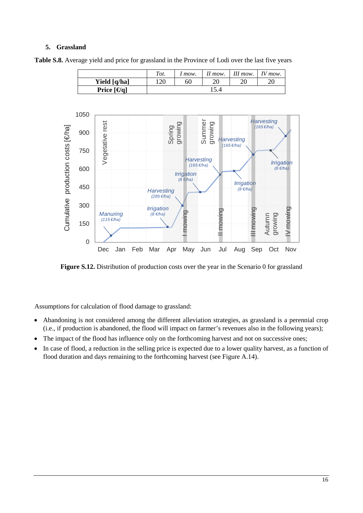### **5. Grassland**





**Figure S.12.** Distribution of production costs over the year in the Scenario 0 for grassland

Assumptions for calculation of flood damage to grassland:

- Abandoning is not considered among the different alleviation strategies, as grassland is a perennial crop (i.e., if production is abandoned, the flood will impact on farmer's revenues also in the following years);
- The impact of the flood has influence only on the forthcoming harvest and not on successive ones;
- In case of flood, a reduction in the selling price is expected due to a lower quality harvest, as a function of flood duration and days remaining to the forthcoming harvest (see Figure A.14).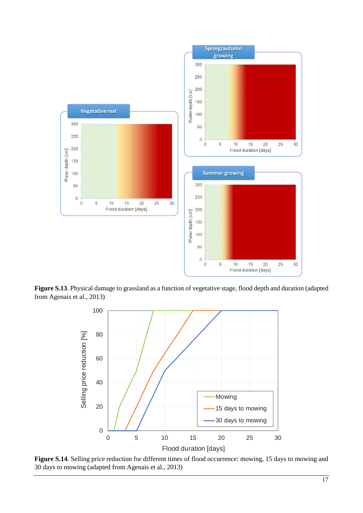

**Figure S.13**. Physical damage to grassland as a function of vegetative stage, flood depth and duration (adapted from Agenais et al., 2013)



**Figure S.14**. Selling price reduction for different times of flood occurrence: mowing, 15 days to mowing and 30 days to mowing (adapted from Agenais et al., 2013)